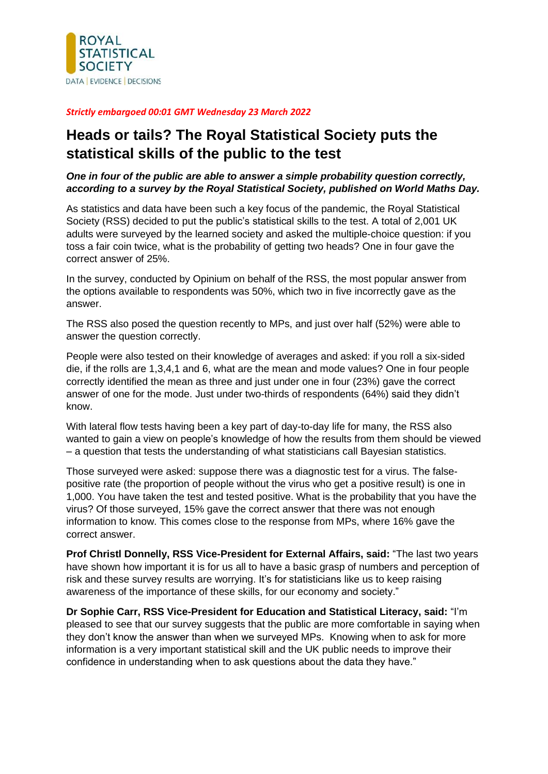

## *Strictly embargoed 00:01 GMT Wednesday 23 March 2022*

## **Heads or tails? The Royal Statistical Society puts the statistical skills of the public to the test**

## *One in four of the public are able to answer a simple probability question correctly, according to a survey by the Royal Statistical Society, published on World Maths Day.*

As statistics and data have been such a key focus of the pandemic, the Royal Statistical Society (RSS) decided to put the public's statistical skills to the test. A total of 2,001 UK adults were surveyed by the learned society and asked the multiple-choice question: if you toss a fair coin twice, what is the probability of getting two heads? One in four gave the correct answer of 25%.

In the survey, conducted by Opinium on behalf of the RSS, the most popular answer from the options available to respondents was 50%, which two in five incorrectly gave as the answer.

The RSS also posed the question recently to MPs, and just over half (52%) were able to answer the question correctly.

People were also tested on their knowledge of averages and asked: if you roll a six-sided die, if the rolls are 1,3,4,1 and 6, what are the mean and mode values? One in four people correctly identified the mean as three and just under one in four (23%) gave the correct answer of one for the mode. Just under two-thirds of respondents (64%) said they didn't know.

With lateral flow tests having been a key part of day-to-day life for many, the RSS also wanted to gain a view on people's knowledge of how the results from them should be viewed – a question that tests the understanding of what statisticians call Bayesian statistics.

Those surveyed were asked: suppose there was a diagnostic test for a virus. The falsepositive rate (the proportion of people without the virus who get a positive result) is one in 1,000. You have taken the test and tested positive. What is the probability that you have the virus? Of those surveyed, 15% gave the correct answer that there was not enough information to know. This comes close to the response from MPs, where 16% gave the correct answer.

**Prof Christl Donnelly, RSS Vice-President for External Affairs, said:** "The last two years have shown how important it is for us all to have a basic grasp of numbers and perception of risk and these survey results are worrying. It's for statisticians like us to keep raising awareness of the importance of these skills, for our economy and society."

**Dr Sophie Carr, RSS Vice-President for Education and Statistical Literacy, said:** "I'm pleased to see that our survey suggests that the public are more comfortable in saying when they don't know the answer than when we surveyed MPs. Knowing when to ask for more information is a very important statistical skill and the UK public needs to improve their confidence in understanding when to ask questions about the data they have."